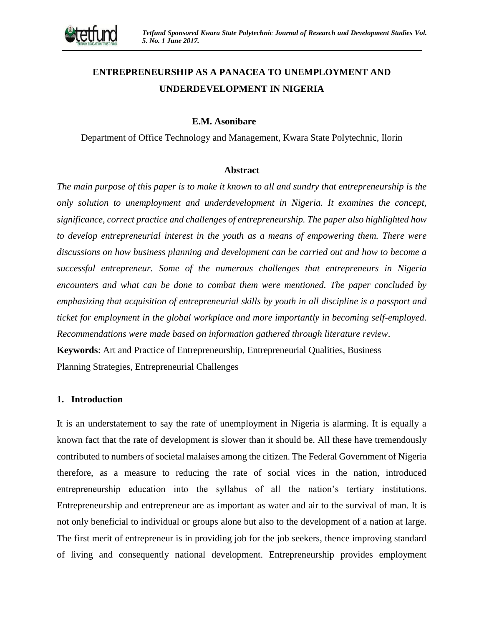

# **ENTREPRENEURSHIP AS A PANACEA TO UNEMPLOYMENT AND UNDERDEVELOPMENT IN NIGERIA**

#### **E.M. Asonibare**

Department of Office Technology and Management, Kwara State Polytechnic, Ilorin

#### **Abstract**

*The main purpose of this paper is to make it known to all and sundry that entrepreneurship is the only solution to unemployment and underdevelopment in Nigeria. It examines the concept, significance, correct practice and challenges of entrepreneurship. The paper also highlighted how to develop entrepreneurial interest in the youth as a means of empowering them. There were discussions on how business planning and development can be carried out and how to become a successful entrepreneur. Some of the numerous challenges that entrepreneurs in Nigeria encounters and what can be done to combat them were mentioned. The paper concluded by emphasizing that acquisition of entrepreneurial skills by youth in all discipline is a passport and ticket for employment in the global workplace and more importantly in becoming self-employed. Recommendations were made based on information gathered through literature review*. **Keywords**: Art and Practice of Entrepreneurship, Entrepreneurial Qualities, Business Planning Strategies, Entrepreneurial Challenges

#### **1. Introduction**

It is an understatement to say the rate of unemployment in Nigeria is alarming. It is equally a known fact that the rate of development is slower than it should be. All these have tremendously contributed to numbers of societal malaises among the citizen. The Federal Government of Nigeria therefore, as a measure to reducing the rate of social vices in the nation, introduced entrepreneurship education into the syllabus of all the nation's tertiary institutions. Entrepreneurship and entrepreneur are as important as water and air to the survival of man. It is not only beneficial to individual or groups alone but also to the development of a nation at large. The first merit of entrepreneur is in providing job for the job seekers, thence improving standard of living and consequently national development. Entrepreneurship provides employment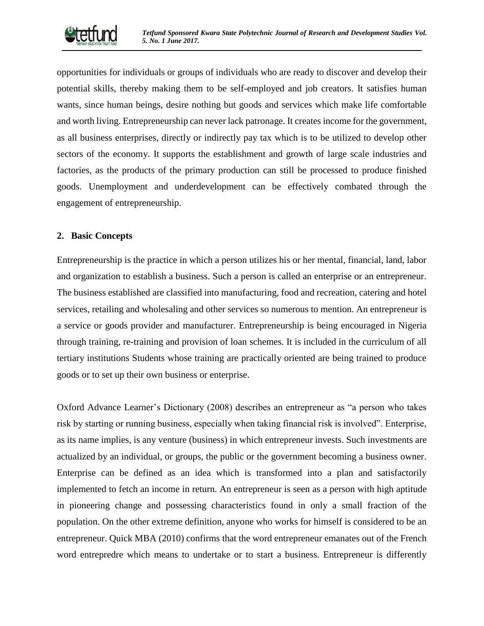

opportunities for individuals or groups of individuals who are ready to discover and develop their potential skills, thereby making them to be self-employed and job creators. It satisfies human wants, since human beings, desire nothing but goods and services which make life comfortable and worth living. Entrepreneurship can never lack patronage. It creates income for the government, as all business enterprises, directly or indirectly pay tax which is to be utilized to develop other sectors of the economy. It supports the establishment and growth of large scale industries and factories, as the products of the primary production can still be processed to produce finished goods. Unemployment and underdevelopment can be effectively combated through the engagement of entrepreneurship.

#### **2. Basic Concepts**

Entrepreneurship is the practice in which a person utilizes his or her mental, financial, land, labor and organization to establish a business. Such a person is called an enterprise or an entrepreneur. The business established are classified into manufacturing, food and recreation, catering and hotel services, retailing and wholesaling and other services so numerous to mention. An entrepreneur is a service or goods provider and manufacturer. Entrepreneurship is being encouraged in Nigeria through training, re-training and provision of loan schemes. It is included in the curriculum of all tertiary institutions Students whose training are practically oriented are being trained to produce goods or to set up their own business or enterprise.

Oxford Advance Learner's Dictionary (2008) describes an entrepreneur as "a person who takes risk by starting or running business, especially when taking financial risk is involved". Enterprise, as its name implies, is any venture (business) in which entrepreneur invests. Such investments are actualized by an individual, or groups, the public or the government becoming a business owner. Enterprise can be defined as an idea which is transformed into a plan and satisfactorily implemented to fetch an income in return. An entrepreneur is seen as a person with high aptitude in pioneering change and possessing characteristics found in only a small fraction of the population. On the other extreme definition, anyone who works for himself is considered to be an entrepreneur. Quick MBA (2010) confirms that the word entrepreneur emanates out of the French word entrepredre which means to undertake or to start a business. Entrepreneur is differently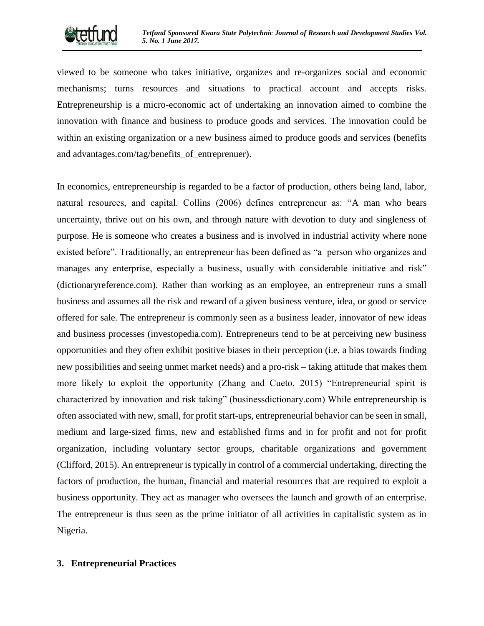

viewed to be someone who takes initiative, organizes and re-organizes social and economic mechanisms; turns resources and situations to practical account and accepts risks. Entrepreneurship is a micro-economic act of undertaking an innovation aimed to combine the innovation with finance and business to produce goods and services. The innovation could be within an existing organization or a new business aimed to produce goods and services (benefits and advantages.com/tag/benefits of entreprenuer).

In economics, entrepreneurship is regarded to be a factor of production, others being land, labor, natural resources, and capital. Collins (2006) defines entrepreneur as: "A man who bears uncertainty, thrive out on his own, and through nature with devotion to duty and singleness of purpose. He is someone who creates a business and is involved in industrial activity where none existed before". Traditionally, an entrepreneur has been defined as "a person who organizes and manages any enterprise, especially a business, usually with considerable initiative and risk" (dictionaryreference.com). Rather than working as an employee, an entrepreneur runs a small business and assumes all the risk and reward of a given business venture, idea, or good or service offered for sale. The entrepreneur is commonly seen as a business leader, innovator of new ideas and business processes (investopedia.com). Entrepreneurs tend to be at perceiving new business opportunities and they often exhibit positive biases in their perception (i.e. a bias towards finding new possibilities and seeing unmet market needs) and a pro-risk – taking attitude that makes them more likely to exploit the opportunity (Zhang and Cueto, 2015) "Entrepreneurial spirit is characterized by innovation and risk taking" (businessdictionary.com) While entrepreneurship is often associated with new, small, for profit start-ups, entrepreneurial behavior can be seen in small, medium and large-sized firms, new and established firms and in for profit and not for profit organization, including voluntary sector groups, charitable organizations and government (Clifford, 2015). An entrepreneur is typically in control of a commercial undertaking, directing the factors of production, the human, financial and material resources that are required to exploit a business opportunity. They act as manager who oversees the launch and growth of an enterprise. The entrepreneur is thus seen as the prime initiator of all activities in capitalistic system as in Nigeria.

## **3. Entrepreneurial Practices**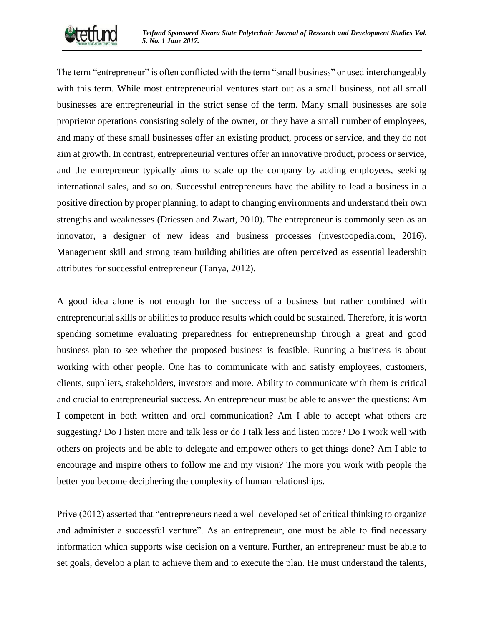

The term "entrepreneur" is often conflicted with the term "small business" or used interchangeably with this term. While most entrepreneurial ventures start out as a small business, not all small businesses are entrepreneurial in the strict sense of the term. Many small businesses are sole proprietor operations consisting solely of the owner, or they have a small number of employees, and many of these small businesses offer an existing product, process or service, and they do not aim at growth. In contrast, entrepreneurial ventures offer an innovative product, process or service, and the entrepreneur typically aims to scale up the company by adding employees, seeking international sales, and so on. Successful entrepreneurs have the ability to lead a business in a positive direction by proper planning, to adapt to changing environments and understand their own strengths and weaknesses (Driessen and Zwart, 2010). The entrepreneur is commonly seen as an innovator, a designer of new ideas and business processes (investoopedia.com, 2016). Management skill and strong team building abilities are often perceived as essential leadership attributes for successful entrepreneur (Tanya, 2012).

A good idea alone is not enough for the success of a business but rather combined with entrepreneurial skills or abilities to produce results which could be sustained. Therefore, it is worth spending sometime evaluating preparedness for entrepreneurship through a great and good business plan to see whether the proposed business is feasible. Running a business is about working with other people. One has to communicate with and satisfy employees, customers, clients, suppliers, stakeholders, investors and more. Ability to communicate with them is critical and crucial to entrepreneurial success. An entrepreneur must be able to answer the questions: Am I competent in both written and oral communication? Am I able to accept what others are suggesting? Do I listen more and talk less or do I talk less and listen more? Do I work well with others on projects and be able to delegate and empower others to get things done? Am I able to encourage and inspire others to follow me and my vision? The more you work with people the better you become deciphering the complexity of human relationships.

Prive (2012) asserted that "entrepreneurs need a well developed set of critical thinking to organize and administer a successful venture". As an entrepreneur, one must be able to find necessary information which supports wise decision on a venture. Further, an entrepreneur must be able to set goals, develop a plan to achieve them and to execute the plan. He must understand the talents,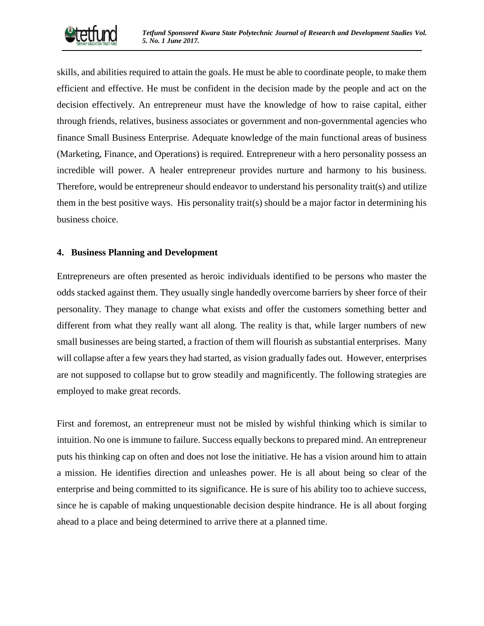

skills, and abilities required to attain the goals. He must be able to coordinate people, to make them efficient and effective. He must be confident in the decision made by the people and act on the decision effectively. An entrepreneur must have the knowledge of how to raise capital, either through friends, relatives, business associates or government and non-governmental agencies who finance Small Business Enterprise. Adequate knowledge of the main functional areas of business (Marketing, Finance, and Operations) is required. Entrepreneur with a hero personality possess an incredible will power. A healer entrepreneur provides nurture and harmony to his business. Therefore, would be entrepreneur should endeavor to understand his personality trait(s) and utilize them in the best positive ways. His personality trait(s) should be a major factor in determining his business choice.

## **4. Business Planning and Development**

Entrepreneurs are often presented as heroic individuals identified to be persons who master the odds stacked against them. They usually single handedly overcome barriers by sheer force of their personality. They manage to change what exists and offer the customers something better and different from what they really want all along. The reality is that, while larger numbers of new small businesses are being started, a fraction of them will flourish as substantial enterprises. Many will collapse after a few years they had started, as vision gradually fades out. However, enterprises are not supposed to collapse but to grow steadily and magnificently. The following strategies are employed to make great records.

First and foremost, an entrepreneur must not be misled by wishful thinking which is similar to intuition. No one is immune to failure. Success equally beckons to prepared mind. An entrepreneur puts his thinking cap on often and does not lose the initiative. He has a vision around him to attain a mission. He identifies direction and unleashes power. He is all about being so clear of the enterprise and being committed to its significance. He is sure of his ability too to achieve success, since he is capable of making unquestionable decision despite hindrance. He is all about forging ahead to a place and being determined to arrive there at a planned time.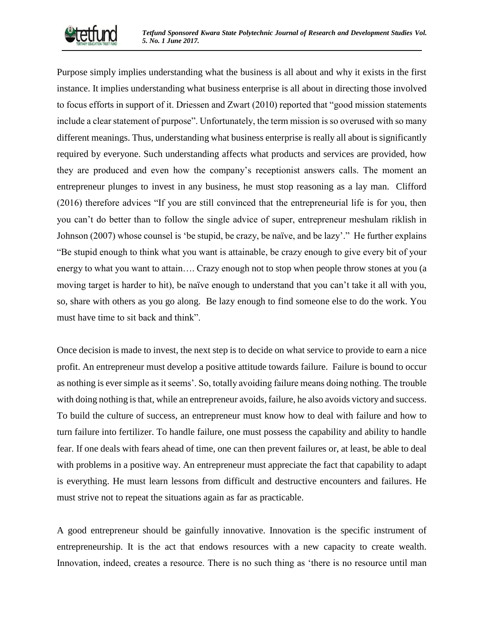

Purpose simply implies understanding what the business is all about and why it exists in the first instance. It implies understanding what business enterprise is all about in directing those involved to focus efforts in support of it. Driessen and Zwart (2010) reported that "good mission statements include a clear statement of purpose". Unfortunately, the term mission is so overused with so many different meanings. Thus, understanding what business enterprise is really all about is significantly required by everyone. Such understanding affects what products and services are provided, how they are produced and even how the company's receptionist answers calls. The moment an entrepreneur plunges to invest in any business, he must stop reasoning as a lay man. Clifford (2016) therefore advices "If you are still convinced that the entrepreneurial life is for you, then you can't do better than to follow the single advice of super, entrepreneur meshulam riklish in Johnson (2007) whose counsel is 'be stupid, be crazy, be naïve, and be lazy'." He further explains "Be stupid enough to think what you want is attainable, be crazy enough to give every bit of your energy to what you want to attain…. Crazy enough not to stop when people throw stones at you (a moving target is harder to hit), be naïve enough to understand that you can't take it all with you, so, share with others as you go along. Be lazy enough to find someone else to do the work. You must have time to sit back and think".

Once decision is made to invest, the next step is to decide on what service to provide to earn a nice profit. An entrepreneur must develop a positive attitude towards failure. Failure is bound to occur as nothing is ever simple as it seems'. So, totally avoiding failure means doing nothing. The trouble with doing nothing is that, while an entrepreneur avoids, failure, he also avoids victory and success. To build the culture of success, an entrepreneur must know how to deal with failure and how to turn failure into fertilizer. To handle failure, one must possess the capability and ability to handle fear. If one deals with fears ahead of time, one can then prevent failures or, at least, be able to deal with problems in a positive way. An entrepreneur must appreciate the fact that capability to adapt is everything. He must learn lessons from difficult and destructive encounters and failures. He must strive not to repeat the situations again as far as practicable.

A good entrepreneur should be gainfully innovative. Innovation is the specific instrument of entrepreneurship. It is the act that endows resources with a new capacity to create wealth. Innovation, indeed, creates a resource. There is no such thing as 'there is no resource until man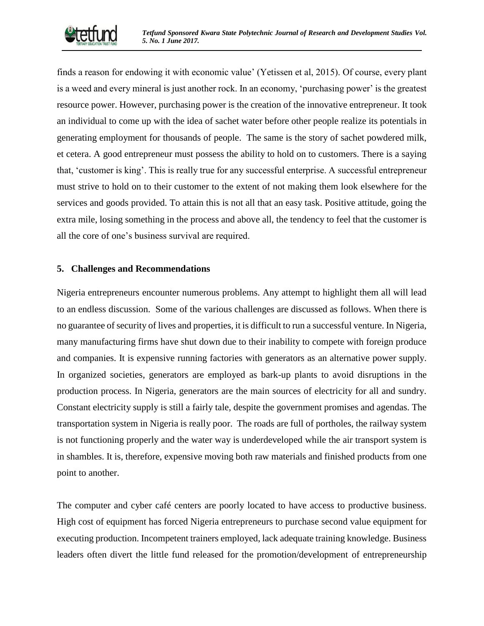

finds a reason for endowing it with economic value' (Yetissen et al, 2015). Of course, every plant is a weed and every mineral is just another rock. In an economy, 'purchasing power' is the greatest resource power. However, purchasing power is the creation of the innovative entrepreneur. It took an individual to come up with the idea of sachet water before other people realize its potentials in generating employment for thousands of people. The same is the story of sachet powdered milk, et cetera. A good entrepreneur must possess the ability to hold on to customers. There is a saying that, 'customer is king'. This is really true for any successful enterprise. A successful entrepreneur must strive to hold on to their customer to the extent of not making them look elsewhere for the services and goods provided. To attain this is not all that an easy task. Positive attitude, going the extra mile, losing something in the process and above all, the tendency to feel that the customer is all the core of one's business survival are required.

## **5. Challenges and Recommendations**

Nigeria entrepreneurs encounter numerous problems. Any attempt to highlight them all will lead to an endless discussion. Some of the various challenges are discussed as follows. When there is no guarantee of security of lives and properties, it is difficult to run a successful venture. In Nigeria, many manufacturing firms have shut down due to their inability to compete with foreign produce and companies. It is expensive running factories with generators as an alternative power supply. In organized societies, generators are employed as bark-up plants to avoid disruptions in the production process. In Nigeria, generators are the main sources of electricity for all and sundry. Constant electricity supply is still a fairly tale, despite the government promises and agendas. The transportation system in Nigeria is really poor. The roads are full of portholes, the railway system is not functioning properly and the water way is underdeveloped while the air transport system is in shambles. It is, therefore, expensive moving both raw materials and finished products from one point to another.

The computer and cyber café centers are poorly located to have access to productive business. High cost of equipment has forced Nigeria entrepreneurs to purchase second value equipment for executing production. Incompetent trainers employed, lack adequate training knowledge. Business leaders often divert the little fund released for the promotion/development of entrepreneurship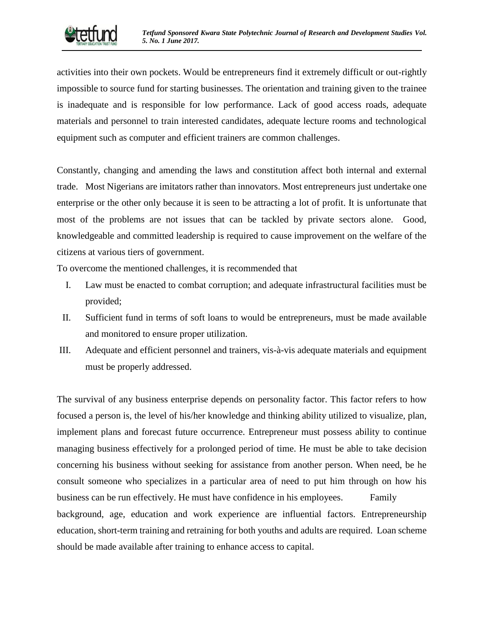

activities into their own pockets. Would be entrepreneurs find it extremely difficult or out-rightly impossible to source fund for starting businesses. The orientation and training given to the trainee is inadequate and is responsible for low performance. Lack of good access roads, adequate materials and personnel to train interested candidates, adequate lecture rooms and technological equipment such as computer and efficient trainers are common challenges.

Constantly, changing and amending the laws and constitution affect both internal and external trade. Most Nigerians are imitators rather than innovators. Most entrepreneurs just undertake one enterprise or the other only because it is seen to be attracting a lot of profit. It is unfortunate that most of the problems are not issues that can be tackled by private sectors alone. Good, knowledgeable and committed leadership is required to cause improvement on the welfare of the citizens at various tiers of government.

To overcome the mentioned challenges, it is recommended that

- I. Law must be enacted to combat corruption; and adequate infrastructural facilities must be provided;
- II. Sufficient fund in terms of soft loans to would be entrepreneurs, must be made available and monitored to ensure proper utilization.
- III. Adequate and efficient personnel and trainers, vis-à-vis adequate materials and equipment must be properly addressed.

The survival of any business enterprise depends on personality factor. This factor refers to how focused a person is, the level of his/her knowledge and thinking ability utilized to visualize, plan, implement plans and forecast future occurrence. Entrepreneur must possess ability to continue managing business effectively for a prolonged period of time. He must be able to take decision concerning his business without seeking for assistance from another person. When need, be he consult someone who specializes in a particular area of need to put him through on how his business can be run effectively. He must have confidence in his employees. Family background, age, education and work experience are influential factors. Entrepreneurship education, short-term training and retraining for both youths and adults are required. Loan scheme should be made available after training to enhance access to capital.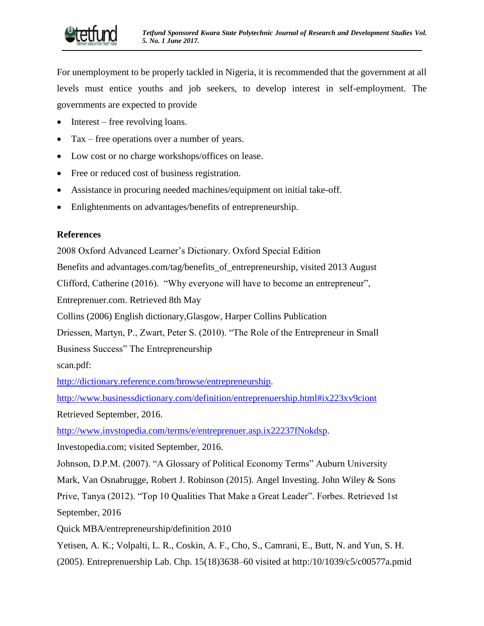

For unemployment to be properly tackled in Nigeria, it is recommended that the government at all levels must entice youths and job seekers, to develop interest in self-employment. The governments are expected to provide

- Interest free revolving loans.
- Tax free operations over a number of years.
- Low cost or no charge workshops/offices on lease.
- Free or reduced cost of business registration.
- Assistance in procuring needed machines/equipment on initial take-off.
- Enlightenments on advantages/benefits of entrepreneurship.

# **References**

2008 Oxford Advanced Learner's Dictionary. Oxford Special Edition

Benefits and advantages.com/tag/benefits\_of\_entrepreneurship, visited 2013 August

Clifford, Catherine (2016). "Why everyone will have to become an entrepreneur",

Entreprenuer.com. Retrieved 8th May

Collins (2006) English dictionary,Glasgow, Harper Collins Publication

Driessen, Martyn, P., Zwart, Peter S. (2010). "The Role of the Entrepreneur in Small Business Success" The Entrepreneurship

scan.pdf:

[http://dictionary.reference.com/browse/entrepreneurship.](http://dictionary.reference.com/browse/entrepreneurship)

<http://www.businessdictionary.com/definition/entreprenuership.html#ix223xv9ciont> Retrieved September, 2016.

[http://www.invstopedia.com/terms/e/entreprenuer.asp.ix22237fNokdsp.](http://www.invstopedia.com/terms/e/entreprenuer.asp.ix22237fNokdsp)

Investopedia.com; visited September, 2016.

Johnson, D.P.M. (2007). "A Glossary of Political Economy Terms" Auburn University

Mark, Van Osnabrugge, Robert J. Robinson (2015). Angel Investing. John Wiley & Sons

Prive, Tanya (2012). "Top 10 Qualities That Make a Great Leader". Forbes. Retrieved 1st September, 2016

Quick MBA/entrepreneurship/definition 2010

Yetisen, A. K.; Volpalti, L. R., Coskin, A. F., Cho, S., Camrani, E., Butt, N. and Yun, S. H. (2005). Entreprenuership Lab. Chp. 15(18)3638–60 visited at http:/10/1039/c5/c00577a.pmid